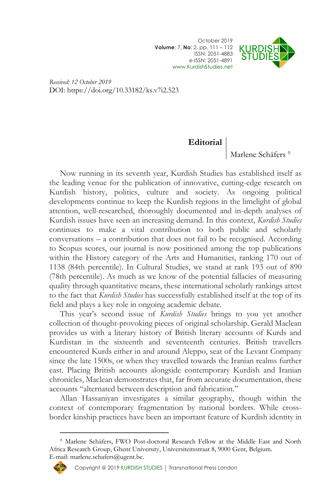October 2019 **Volume**: 7, **No**: 2, pp. 111 – 112 ISSN: 2051-4883 e-ISSN: 2051-4891 [www.KurdishStudies.net](http://www.kurdishstudies.net/)



*Received: 12 October 2019* DOI: https://doi.org/10.33182/ks.v7i2.523

## **Editorial**

Marlene Schäfers<sup>+</sup>

Now running in its seventh year, Kurdish Studies has established itself as the leading venue for the publication of innovative, cutting-edge research on Kurdish history, politics, culture and society. As ongoing political developments continue to keep the Kurdish regions in the limelight of global attention, well-researched, thoroughly documented and in-depth analyses of Kurdish issues have seen an increasing demand. In this context, *Kurdish Studies*  continues to make a vital contribution to both public and scholarly conversations – a contribution that does not fail to be recognised. According to Scopus scores, our journal is now positioned among the top publications within the History category of the Arts and Humanities, ranking 170 out of 1138 (84th percentile). In Cultural Studies, we stand at rank 193 out of 890 (78th percentile). As much as we know of the potential fallacies of measuring quality through quantitative means, these international scholarly rankings attest to the fact that *Kurdish Studies* has successfully established itself at the top of its field and plays a key role in ongoing academic debate.

This year's second issue of *Kurdish Studies* brings to you yet another collection of thought-provoking pieces of original scholarship. Gerald Maclean provides us with a literary history of British literary accounts of Kurds and Kurdistan in the sixteenth and seventeenth centuries. British travellers encountered Kurds either in and around Aleppo, seat of the Levant Company since the late 1500s, or when they travelled towards the Iranian realms further east. Placing British accounts alongside contemporary Kurdish and Iranian chronicles, Maclean demonstrates that, far from accurate documentation, these accounts "alternated between description and fabrication."

Allan Hassaniyan investigates a similar geography, though within the context of contemporary fragmentation by national borders. While crossborder kinship practices have been an important feature of Kurdish identity in

Marlene Schäfers, FWO Post-doctoral Research Fellow at the Middle East and North Africa Research Group, Ghent University, Universiteitsstraat 8, 9000 Gent, Belgium. E-mail: marlene.schafers@ugent.be.



 $\overline{a}$ 

Copyright @ 2019 [KURDISH STUDIES](http://www.kurdishstudies.net/) | [Transnational Press London](http://www.tplondon.com/)